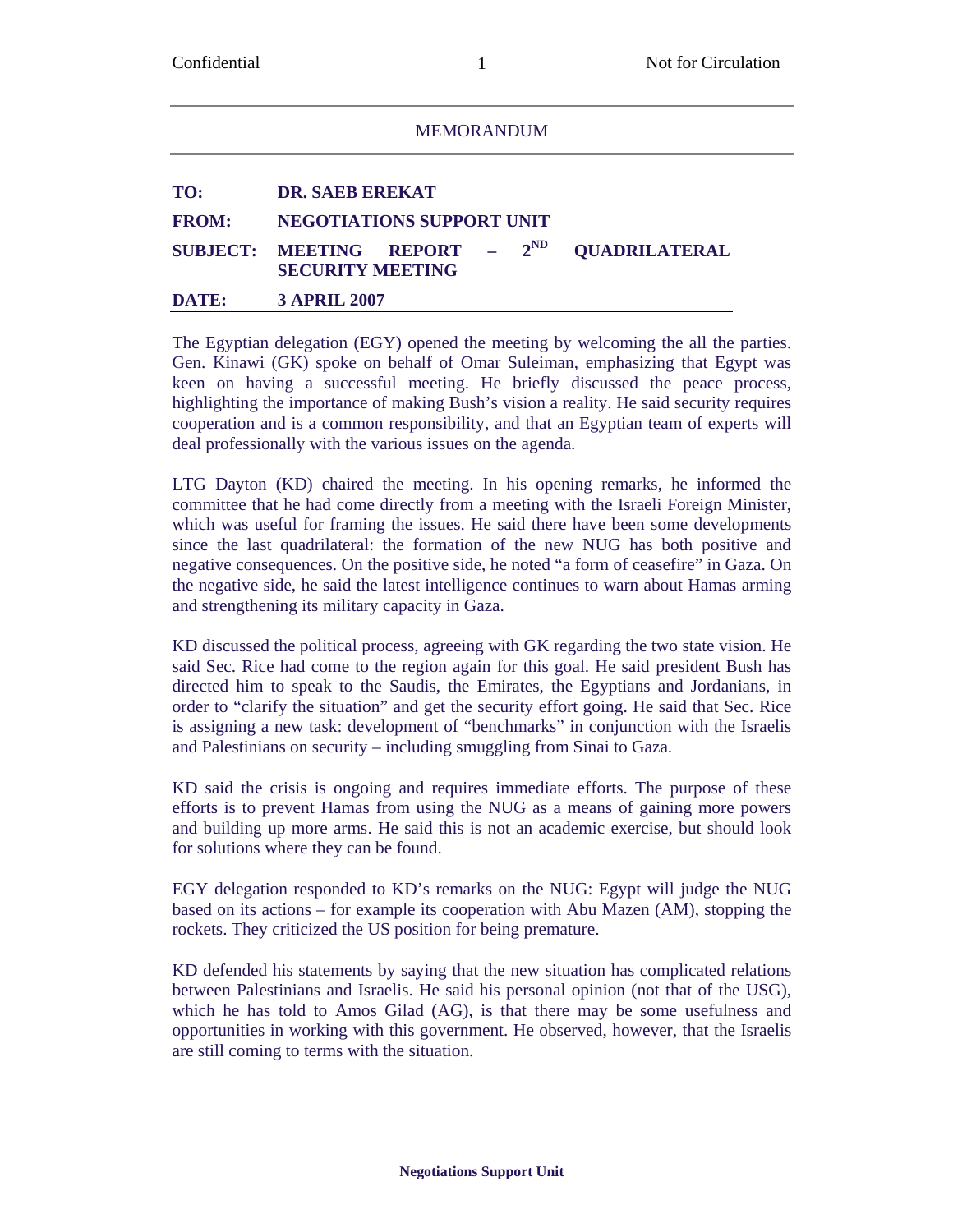| <b>MEMORANDUM</b> |                                                              |                      |
|-------------------|--------------------------------------------------------------|----------------------|
| TO:               | <b>DR. SAEB EREKAT</b>                                       |                      |
| <b>FROM:</b>      | <b>NEGOTIATIONS SUPPORT UNIT</b>                             |                      |
| <b>SUBJECT:</b>   | $2^{ND}$<br><b>MEETING REPORT</b><br><b>SECURITY MEETING</b> | <b>OUADRILATERAL</b> |
| DATE:             | <b>3 APRIL 2007</b>                                          |                      |

The Egyptian delegation (EGY) opened the meeting by welcoming the all the parties. Gen. Kinawi (GK) spoke on behalf of Omar Suleiman, emphasizing that Egypt was keen on having a successful meeting. He briefly discussed the peace process, highlighting the importance of making Bush's vision a reality. He said security requires cooperation and is a common responsibility, and that an Egyptian team of experts will deal professionally with the various issues on the agenda.

LTG Dayton (KD) chaired the meeting. In his opening remarks, he informed the committee that he had come directly from a meeting with the Israeli Foreign Minister, which was useful for framing the issues. He said there have been some developments since the last quadrilateral: the formation of the new NUG has both positive and negative consequences. On the positive side, he noted "a form of ceasefire" in Gaza. On the negative side, he said the latest intelligence continues to warn about Hamas arming and strengthening its military capacity in Gaza.

KD discussed the political process, agreeing with GK regarding the two state vision. He said Sec. Rice had come to the region again for this goal. He said president Bush has directed him to speak to the Saudis, the Emirates, the Egyptians and Jordanians, in order to "clarify the situation" and get the security effort going. He said that Sec. Rice is assigning a new task: development of "benchmarks" in conjunction with the Israelis and Palestinians on security – including smuggling from Sinai to Gaza.

KD said the crisis is ongoing and requires immediate efforts. The purpose of these efforts is to prevent Hamas from using the NUG as a means of gaining more powers and building up more arms. He said this is not an academic exercise, but should look for solutions where they can be found.

EGY delegation responded to KD's remarks on the NUG: Egypt will judge the NUG based on its actions – for example its cooperation with Abu Mazen (AM), stopping the rockets. They criticized the US position for being premature.

KD defended his statements by saying that the new situation has complicated relations between Palestinians and Israelis. He said his personal opinion (not that of the USG), which he has told to Amos Gilad (AG), is that there may be some usefulness and opportunities in working with this government. He observed, however, that the Israelis are still coming to terms with the situation.

1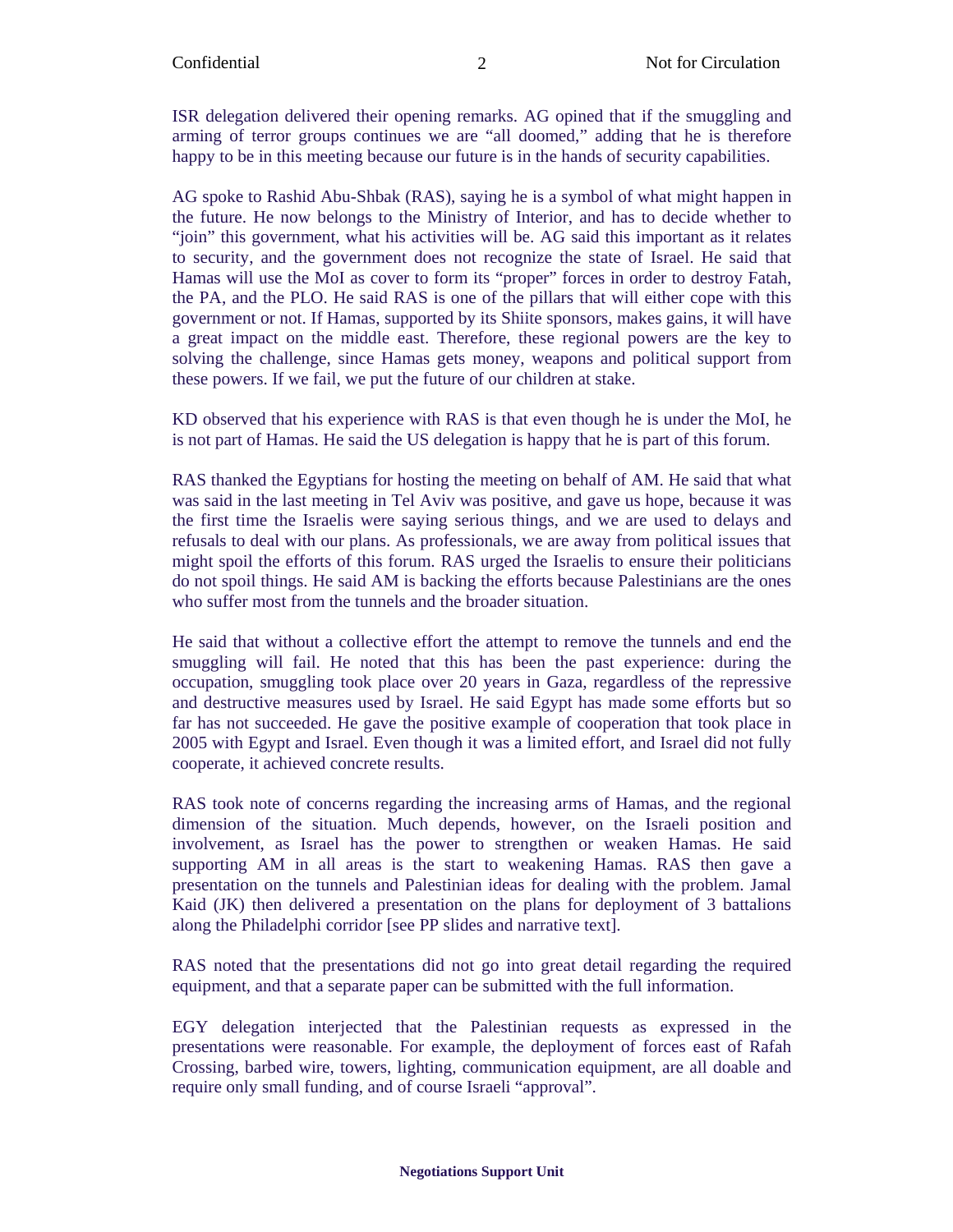ISR delegation delivered their opening remarks. AG opined that if the smuggling and arming of terror groups continues we are "all doomed," adding that he is therefore happy to be in this meeting because our future is in the hands of security capabilities.

AG spoke to Rashid Abu-Shbak (RAS), saying he is a symbol of what might happen in the future. He now belongs to the Ministry of Interior, and has to decide whether to "join" this government, what his activities will be. AG said this important as it relates to security, and the government does not recognize the state of Israel. He said that Hamas will use the MoI as cover to form its "proper" forces in order to destroy Fatah, the PA, and the PLO. He said RAS is one of the pillars that will either cope with this government or not. If Hamas, supported by its Shiite sponsors, makes gains, it will have a great impact on the middle east. Therefore, these regional powers are the key to solving the challenge, since Hamas gets money, weapons and political support from these powers. If we fail, we put the future of our children at stake.

KD observed that his experience with RAS is that even though he is under the MoI, he is not part of Hamas. He said the US delegation is happy that he is part of this forum.

RAS thanked the Egyptians for hosting the meeting on behalf of AM. He said that what was said in the last meeting in Tel Aviv was positive, and gave us hope, because it was the first time the Israelis were saying serious things, and we are used to delays and refusals to deal with our plans. As professionals, we are away from political issues that might spoil the efforts of this forum. RAS urged the Israelis to ensure their politicians do not spoil things. He said AM is backing the efforts because Palestinians are the ones who suffer most from the tunnels and the broader situation.

He said that without a collective effort the attempt to remove the tunnels and end the smuggling will fail. He noted that this has been the past experience: during the occupation, smuggling took place over 20 years in Gaza, regardless of the repressive and destructive measures used by Israel. He said Egypt has made some efforts but so far has not succeeded. He gave the positive example of cooperation that took place in 2005 with Egypt and Israel. Even though it was a limited effort, and Israel did not fully cooperate, it achieved concrete results.

RAS took note of concerns regarding the increasing arms of Hamas, and the regional dimension of the situation. Much depends, however, on the Israeli position and involvement, as Israel has the power to strengthen or weaken Hamas. He said supporting AM in all areas is the start to weakening Hamas. RAS then gave a presentation on the tunnels and Palestinian ideas for dealing with the problem. Jamal Kaid (JK) then delivered a presentation on the plans for deployment of 3 battalions along the Philadelphi corridor [see PP slides and narrative text].

RAS noted that the presentations did not go into great detail regarding the required equipment, and that a separate paper can be submitted with the full information.

EGY delegation interjected that the Palestinian requests as expressed in the presentations were reasonable. For example, the deployment of forces east of Rafah Crossing, barbed wire, towers, lighting, communication equipment, are all doable and require only small funding, and of course Israeli "approval".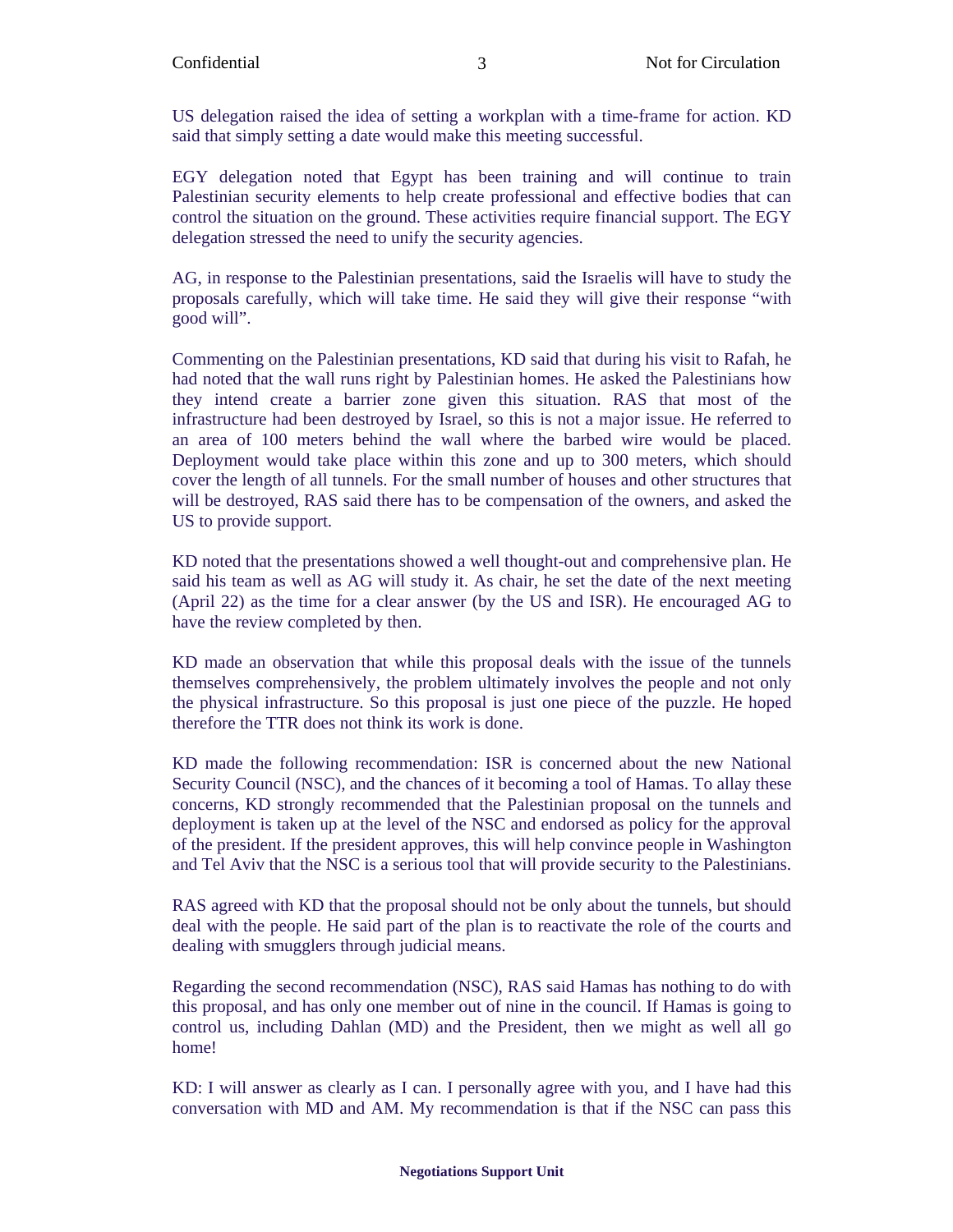US delegation raised the idea of setting a workplan with a time-frame for action. KD said that simply setting a date would make this meeting successful.

EGY delegation noted that Egypt has been training and will continue to train Palestinian security elements to help create professional and effective bodies that can control the situation on the ground. These activities require financial support. The EGY delegation stressed the need to unify the security agencies.

AG, in response to the Palestinian presentations, said the Israelis will have to study the proposals carefully, which will take time. He said they will give their response "with good will".

Commenting on the Palestinian presentations, KD said that during his visit to Rafah, he had noted that the wall runs right by Palestinian homes. He asked the Palestinians how they intend create a barrier zone given this situation. RAS that most of the infrastructure had been destroyed by Israel, so this is not a major issue. He referred to an area of 100 meters behind the wall where the barbed wire would be placed. Deployment would take place within this zone and up to 300 meters, which should cover the length of all tunnels. For the small number of houses and other structures that will be destroyed, RAS said there has to be compensation of the owners, and asked the US to provide support.

KD noted that the presentations showed a well thought-out and comprehensive plan. He said his team as well as AG will study it. As chair, he set the date of the next meeting (April 22) as the time for a clear answer (by the US and ISR). He encouraged AG to have the review completed by then.

KD made an observation that while this proposal deals with the issue of the tunnels themselves comprehensively, the problem ultimately involves the people and not only the physical infrastructure. So this proposal is just one piece of the puzzle. He hoped therefore the TTR does not think its work is done.

KD made the following recommendation: ISR is concerned about the new National Security Council (NSC), and the chances of it becoming a tool of Hamas. To allay these concerns, KD strongly recommended that the Palestinian proposal on the tunnels and deployment is taken up at the level of the NSC and endorsed as policy for the approval of the president. If the president approves, this will help convince people in Washington and Tel Aviv that the NSC is a serious tool that will provide security to the Palestinians.

RAS agreed with KD that the proposal should not be only about the tunnels, but should deal with the people. He said part of the plan is to reactivate the role of the courts and dealing with smugglers through judicial means.

Regarding the second recommendation (NSC), RAS said Hamas has nothing to do with this proposal, and has only one member out of nine in the council. If Hamas is going to control us, including Dahlan (MD) and the President, then we might as well all go home!

KD: I will answer as clearly as I can. I personally agree with you, and I have had this conversation with MD and AM. My recommendation is that if the NSC can pass this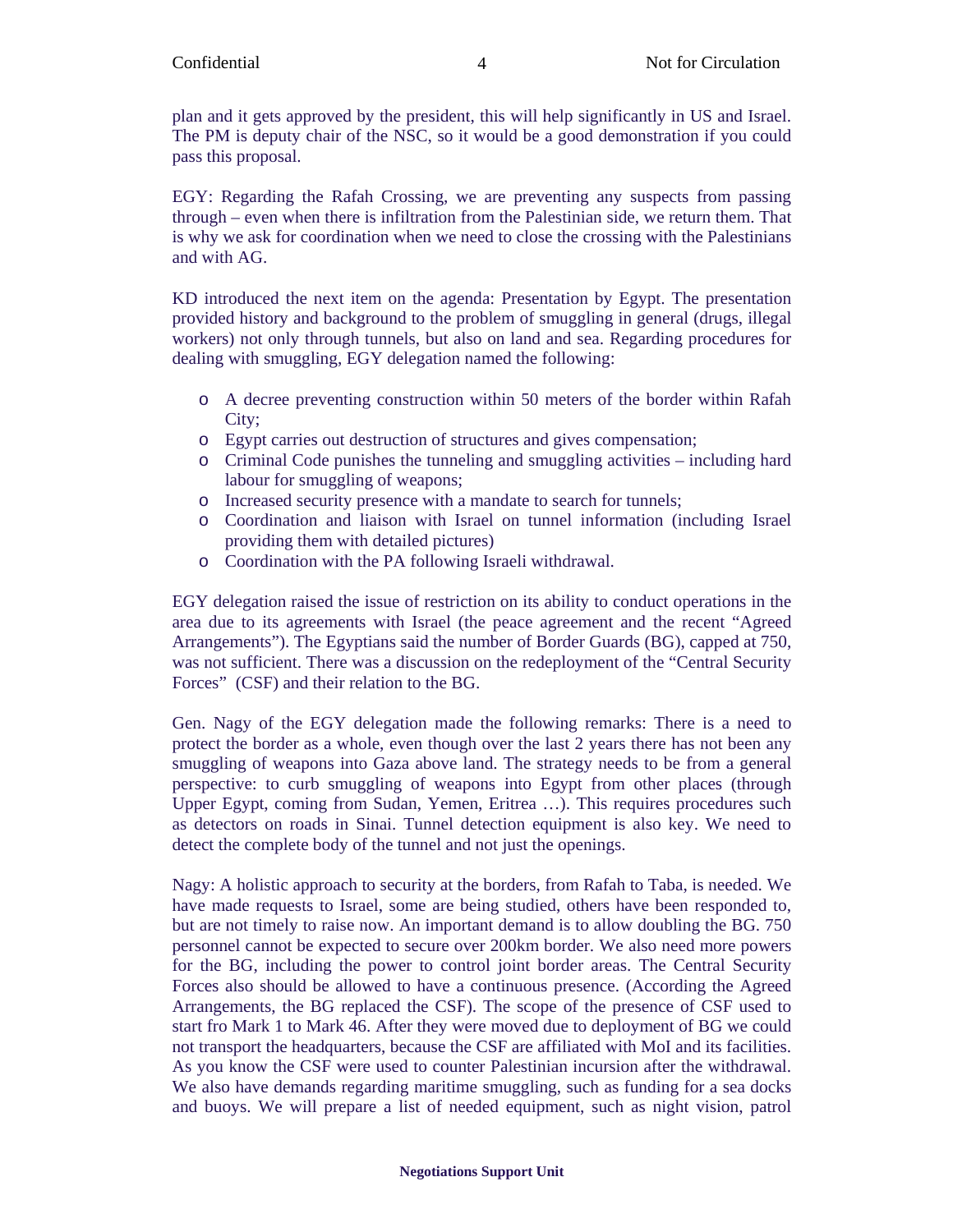plan and it gets approved by the president, this will help significantly in US and Israel. The PM is deputy chair of the NSC, so it would be a good demonstration if you could pass this proposal.

EGY: Regarding the Rafah Crossing, we are preventing any suspects from passing through – even when there is infiltration from the Palestinian side, we return them. That is why we ask for coordination when we need to close the crossing with the Palestinians and with AG.

KD introduced the next item on the agenda: Presentation by Egypt. The presentation provided history and background to the problem of smuggling in general (drugs, illegal workers) not only through tunnels, but also on land and sea. Regarding procedures for dealing with smuggling, EGY delegation named the following:

- o A decree preventing construction within 50 meters of the border within Rafah City;
- o Egypt carries out destruction of structures and gives compensation;
- o Criminal Code punishes the tunneling and smuggling activities including hard labour for smuggling of weapons;
- o Increased security presence with a mandate to search for tunnels;
- o Coordination and liaison with Israel on tunnel information (including Israel providing them with detailed pictures)
- o Coordination with the PA following Israeli withdrawal.

EGY delegation raised the issue of restriction on its ability to conduct operations in the area due to its agreements with Israel (the peace agreement and the recent "Agreed Arrangements"). The Egyptians said the number of Border Guards (BG), capped at 750, was not sufficient. There was a discussion on the redeployment of the "Central Security Forces" (CSF) and their relation to the BG.

Gen. Nagy of the EGY delegation made the following remarks: There is a need to protect the border as a whole, even though over the last 2 years there has not been any smuggling of weapons into Gaza above land. The strategy needs to be from a general perspective: to curb smuggling of weapons into Egypt from other places (through Upper Egypt, coming from Sudan, Yemen, Eritrea …). This requires procedures such as detectors on roads in Sinai. Tunnel detection equipment is also key. We need to detect the complete body of the tunnel and not just the openings.

Nagy: A holistic approach to security at the borders, from Rafah to Taba, is needed. We have made requests to Israel, some are being studied, others have been responded to, but are not timely to raise now. An important demand is to allow doubling the BG. 750 personnel cannot be expected to secure over 200km border. We also need more powers for the BG, including the power to control joint border areas. The Central Security Forces also should be allowed to have a continuous presence. (According the Agreed Arrangements, the BG replaced the CSF). The scope of the presence of CSF used to start fro Mark 1 to Mark 46. After they were moved due to deployment of BG we could not transport the headquarters, because the CSF are affiliated with MoI and its facilities. As you know the CSF were used to counter Palestinian incursion after the withdrawal. We also have demands regarding maritime smuggling, such as funding for a sea docks and buoys. We will prepare a list of needed equipment, such as night vision, patrol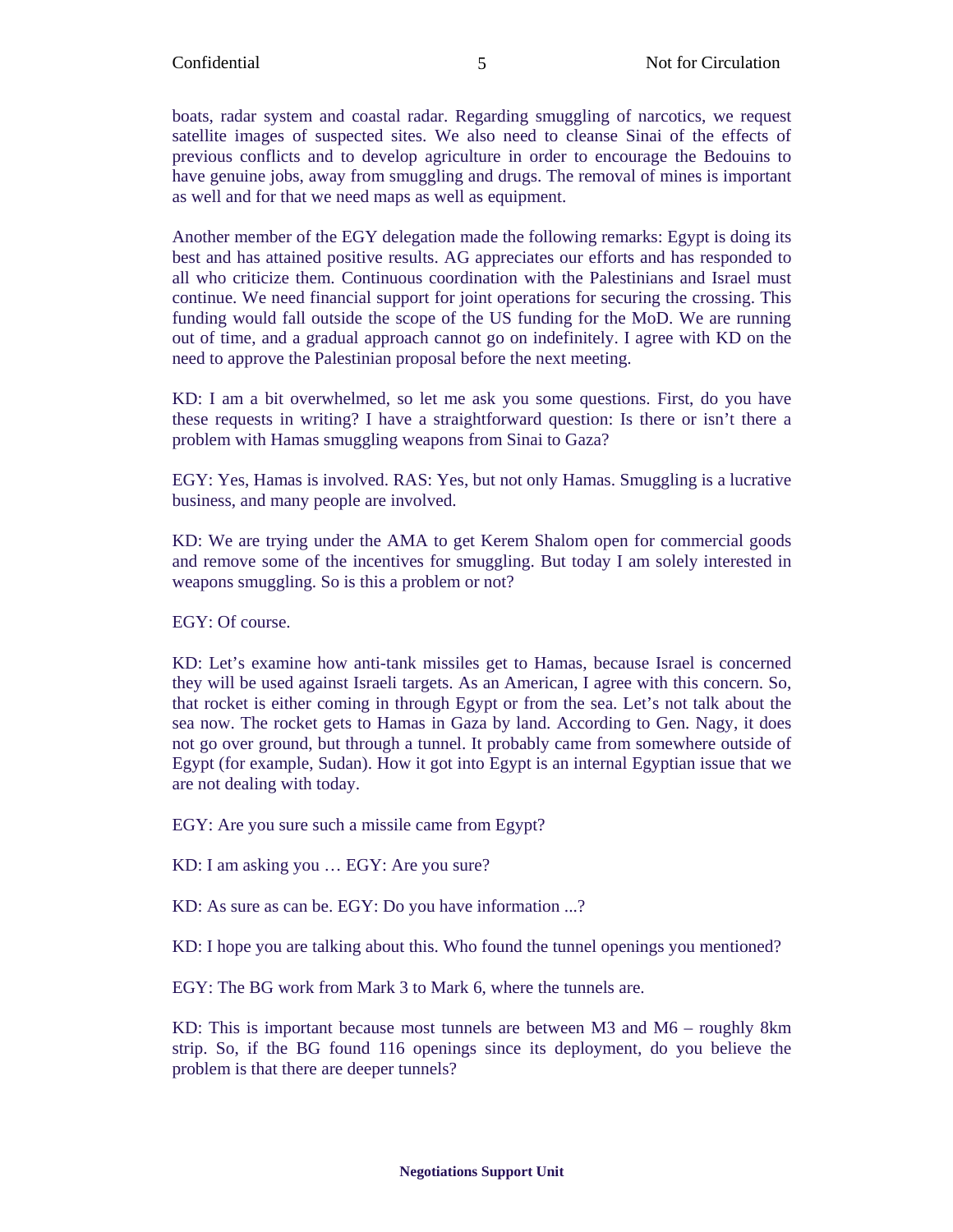boats, radar system and coastal radar. Regarding smuggling of narcotics, we request satellite images of suspected sites. We also need to cleanse Sinai of the effects of previous conflicts and to develop agriculture in order to encourage the Bedouins to have genuine jobs, away from smuggling and drugs. The removal of mines is important as well and for that we need maps as well as equipment.

Another member of the EGY delegation made the following remarks: Egypt is doing its best and has attained positive results. AG appreciates our efforts and has responded to all who criticize them. Continuous coordination with the Palestinians and Israel must continue. We need financial support for joint operations for securing the crossing. This funding would fall outside the scope of the US funding for the MoD. We are running out of time, and a gradual approach cannot go on indefinitely. I agree with KD on the need to approve the Palestinian proposal before the next meeting.

KD: I am a bit overwhelmed, so let me ask you some questions. First, do you have these requests in writing? I have a straightforward question: Is there or isn't there a problem with Hamas smuggling weapons from Sinai to Gaza?

EGY: Yes, Hamas is involved. RAS: Yes, but not only Hamas. Smuggling is a lucrative business, and many people are involved.

KD: We are trying under the AMA to get Kerem Shalom open for commercial goods and remove some of the incentives for smuggling. But today I am solely interested in weapons smuggling. So is this a problem or not?

EGY: Of course.

KD: Let's examine how anti-tank missiles get to Hamas, because Israel is concerned they will be used against Israeli targets. As an American, I agree with this concern. So, that rocket is either coming in through Egypt or from the sea. Let's not talk about the sea now. The rocket gets to Hamas in Gaza by land. According to Gen. Nagy, it does not go over ground, but through a tunnel. It probably came from somewhere outside of Egypt (for example, Sudan). How it got into Egypt is an internal Egyptian issue that we are not dealing with today.

EGY: Are you sure such a missile came from Egypt?

KD: I am asking you … EGY: Are you sure?

KD: As sure as can be. EGY: Do you have information ...?

KD: I hope you are talking about this. Who found the tunnel openings you mentioned?

EGY: The BG work from Mark 3 to Mark 6, where the tunnels are.

KD: This is important because most tunnels are between M3 and M6 – roughly 8km strip. So, if the BG found 116 openings since its deployment, do you believe the problem is that there are deeper tunnels?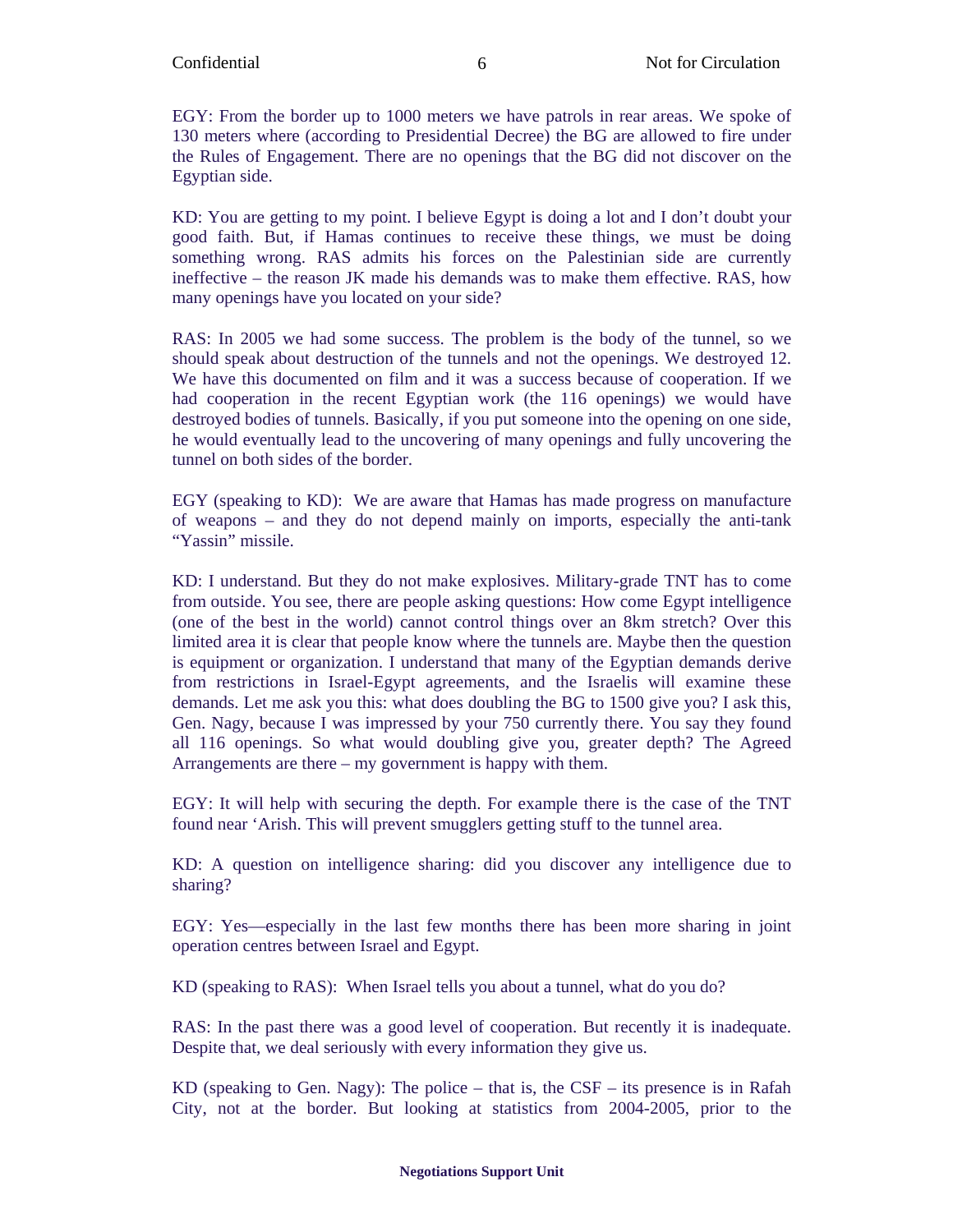EGY: From the border up to 1000 meters we have patrols in rear areas. We spoke of 130 meters where (according to Presidential Decree) the BG are allowed to fire under the Rules of Engagement. There are no openings that the BG did not discover on the Egyptian side.

KD: You are getting to my point. I believe Egypt is doing a lot and I don't doubt your good faith. But, if Hamas continues to receive these things, we must be doing something wrong. RAS admits his forces on the Palestinian side are currently ineffective – the reason JK made his demands was to make them effective. RAS, how many openings have you located on your side?

RAS: In 2005 we had some success. The problem is the body of the tunnel, so we should speak about destruction of the tunnels and not the openings. We destroyed 12. We have this documented on film and it was a success because of cooperation. If we had cooperation in the recent Egyptian work (the 116 openings) we would have destroyed bodies of tunnels. Basically, if you put someone into the opening on one side, he would eventually lead to the uncovering of many openings and fully uncovering the tunnel on both sides of the border.

EGY (speaking to KD): We are aware that Hamas has made progress on manufacture of weapons – and they do not depend mainly on imports, especially the anti-tank "Yassin" missile.

KD: I understand. But they do not make explosives. Military-grade TNT has to come from outside. You see, there are people asking questions: How come Egypt intelligence (one of the best in the world) cannot control things over an 8km stretch? Over this limited area it is clear that people know where the tunnels are. Maybe then the question is equipment or organization. I understand that many of the Egyptian demands derive from restrictions in Israel-Egypt agreements, and the Israelis will examine these demands. Let me ask you this: what does doubling the BG to 1500 give you? I ask this, Gen. Nagy, because I was impressed by your 750 currently there. You say they found all 116 openings. So what would doubling give you, greater depth? The Agreed Arrangements are there – my government is happy with them.

EGY: It will help with securing the depth. For example there is the case of the TNT found near 'Arish. This will prevent smugglers getting stuff to the tunnel area.

KD: A question on intelligence sharing: did you discover any intelligence due to sharing?

EGY: Yes—especially in the last few months there has been more sharing in joint operation centres between Israel and Egypt.

KD (speaking to RAS): When Israel tells you about a tunnel, what do you do?

RAS: In the past there was a good level of cooperation. But recently it is inadequate. Despite that, we deal seriously with every information they give us.

KD (speaking to Gen. Nagy): The police – that is, the  $CSF -$  its presence is in Rafah City, not at the border. But looking at statistics from 2004-2005, prior to the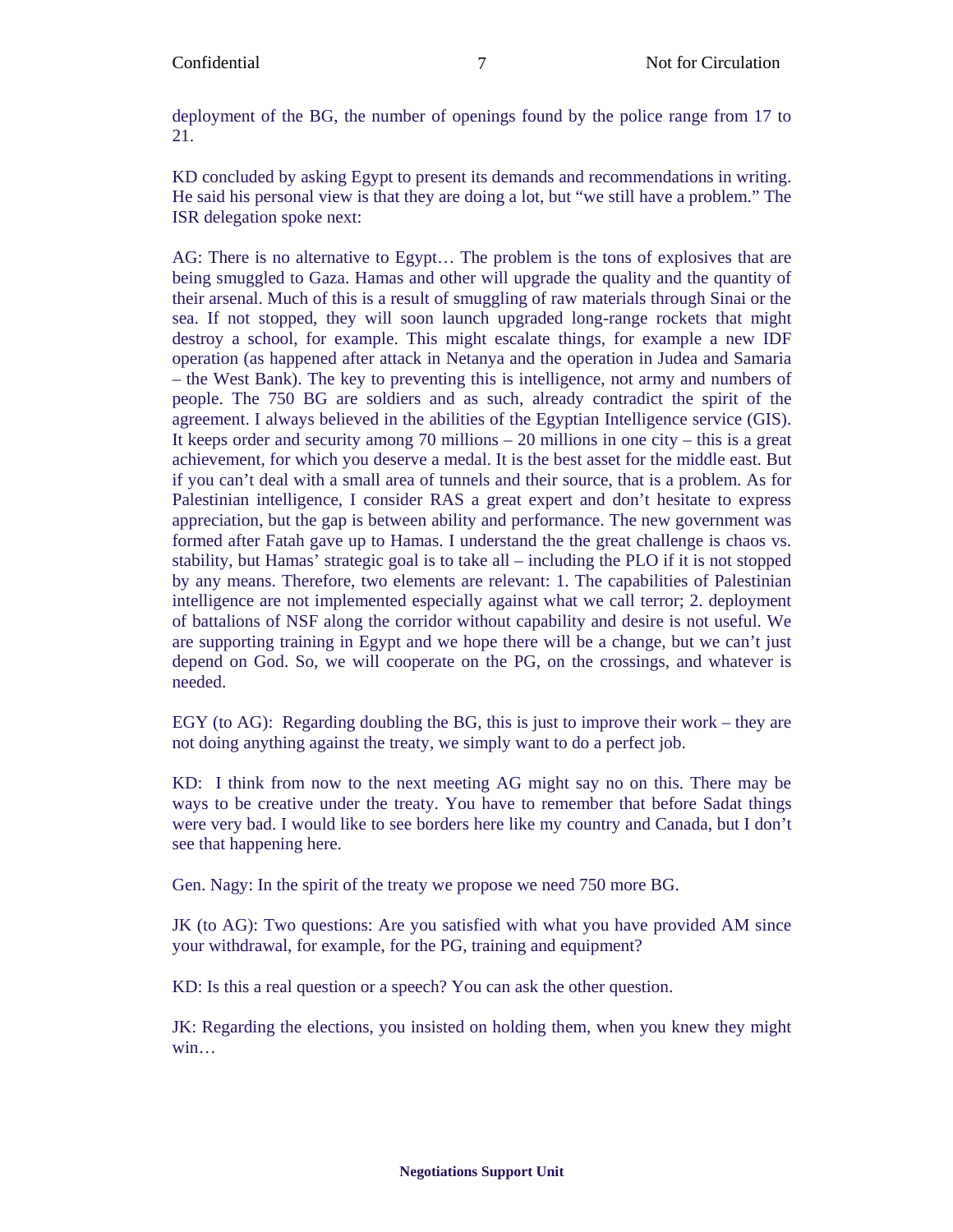deployment of the BG, the number of openings found by the police range from 17 to 21.

7

KD concluded by asking Egypt to present its demands and recommendations in writing. He said his personal view is that they are doing a lot, but "we still have a problem." The ISR delegation spoke next:

AG: There is no alternative to Egypt… The problem is the tons of explosives that are being smuggled to Gaza. Hamas and other will upgrade the quality and the quantity of their arsenal. Much of this is a result of smuggling of raw materials through Sinai or the sea. If not stopped, they will soon launch upgraded long-range rockets that might destroy a school, for example. This might escalate things, for example a new IDF operation (as happened after attack in Netanya and the operation in Judea and Samaria – the West Bank). The key to preventing this is intelligence, not army and numbers of people. The 750 BG are soldiers and as such, already contradict the spirit of the agreement. I always believed in the abilities of the Egyptian Intelligence service (GIS). It keeps order and security among 70 millions – 20 millions in one city – this is a great achievement, for which you deserve a medal. It is the best asset for the middle east. But if you can't deal with a small area of tunnels and their source, that is a problem. As for Palestinian intelligence, I consider RAS a great expert and don't hesitate to express appreciation, but the gap is between ability and performance. The new government was formed after Fatah gave up to Hamas. I understand the the great challenge is chaos vs. stability, but Hamas' strategic goal is to take all – including the PLO if it is not stopped by any means. Therefore, two elements are relevant: 1. The capabilities of Palestinian intelligence are not implemented especially against what we call terror; 2. deployment of battalions of NSF along the corridor without capability and desire is not useful. We are supporting training in Egypt and we hope there will be a change, but we can't just depend on God. So, we will cooperate on the PG, on the crossings, and whatever is needed.

EGY (to AG): Regarding doubling the BG, this is just to improve their work – they are not doing anything against the treaty, we simply want to do a perfect job.

KD: I think from now to the next meeting AG might say no on this. There may be ways to be creative under the treaty. You have to remember that before Sadat things were very bad. I would like to see borders here like my country and Canada, but I don't see that happening here.

Gen. Nagy: In the spirit of the treaty we propose we need 750 more BG.

JK (to AG): Two questions: Are you satisfied with what you have provided AM since your withdrawal, for example, for the PG, training and equipment?

KD: Is this a real question or a speech? You can ask the other question.

JK: Regarding the elections, you insisted on holding them, when you knew they might win…